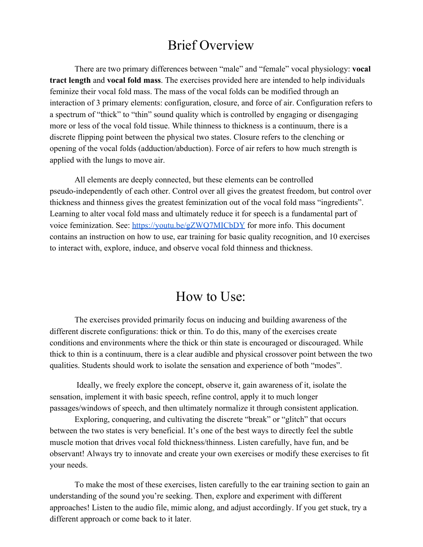# Brief Overview

There are two primary differences between "male" and "female" vocal physiology: **vocal tract length** and **vocal fold mass**. The exercises provided here are intended to help individuals feminize their vocal fold mass. The mass of the vocal folds can be modified through an interaction of 3 primary elements: configuration, closure, and force of air. Configuration refers to a spectrum of "thick" to "thin" sound quality which is controlled by engaging or disengaging more or less of the vocal fold tissue. While thinness to thickness is a continuum, there is a discrete flipping point between the physical two states. Closure refers to the clenching or opening of the vocal folds (adduction/abduction). Force of air refers to how much strength is applied with the lungs to move air.

All elements are deeply connected, but these elements can be controlled pseudo-independently of each other. Control over all gives the greatest freedom, but control over thickness and thinness gives the greatest feminization out of the vocal fold mass "ingredients". Learning to alter vocal fold mass and ultimately reduce it for speech is a fundamental part of voice feminization. See:<https://youtu.be/gZWQ7MICbDY>for more info. This document contains an instruction on how to use, ear training for basic quality recognition, and 10 exercises to interact with, explore, induce, and observe vocal fold thinness and thickness.

## How to Use:

The exercises provided primarily focus on inducing and building awareness of the different discrete configurations: thick or thin. To do this, many of the exercises create conditions and environments where the thick or thin state is encouraged or discouraged. While thick to thin is a continuum, there is a clear audible and physical crossover point between the two qualities. Students should work to isolate the sensation and experience of both "modes".

 Ideally, we freely explore the concept, observe it, gain awareness of it, isolate the sensation, implement it with basic speech, refine control, apply it to much longer passages/windows of speech, and then ultimately normalize it through consistent application.

Exploring, conquering, and cultivating the discrete "break" or "glitch" that occurs between the two states is very beneficial. It's one of the best ways to directly feel the subtle muscle motion that drives vocal fold thickness/thinness. Listen carefully, have fun, and be observant! Always try to innovate and create your own exercises or modify these exercises to fit your needs.

To make the most of these exercises, listen carefully to the ear training section to gain an understanding of the sound you're seeking. Then, explore and experiment with different approaches! Listen to the audio file, mimic along, and adjust accordingly. If you get stuck, try a different approach or come back to it later.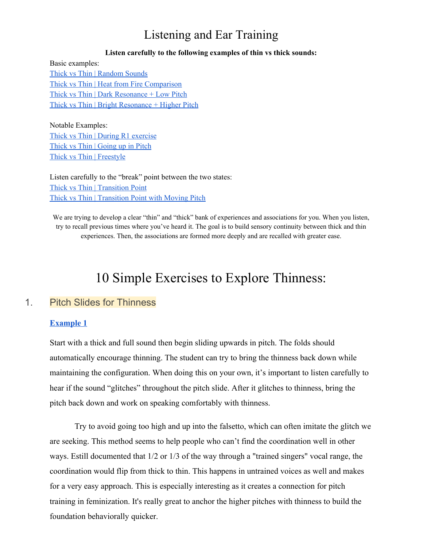## Listening and Ear Training

#### **Listen carefully to the following examples of thin vs thick sounds:**

Basic examples: Thick vs Thin | [Random](https://clyp.it/rcgw2g5h?token=10b84ab17a2957e3c7dea6ee3dc4700f) Sounds Thick vs Thin | Heat from Fire [Comparison](https://clyp.it/b3bv4upb?token=0339902f66a26f1adb5ae93d9a64ed41) Thick vs Thin | Dark [Resonance](https://clyp.it/mrh5fnd5?token=d4572694c91a8cb29a96f0df959e1f57) + Low Pitch Thick vs Thin | Bright [Resonance](https://clyp.it/h2bzsqek?token=e652fefb0ad58d21af23b565107986fe) + Higher Pitch

Notable Examples: Thick vs Thin | During R1 [exercise](https://clyp.it/0fy3xnuq?token=f49b7180477a7cecc5b2b92b91759eeb) Thick vs Thin | [Going](https://clyp.it/bozh4fy2?token=09b5cc18e5beae23d44c82459ea229aa) up in Pitch Thick vs Thin | [Freestyle](https://clyp.it/jeedw2n0?token=a1446aa607965b9cc94b1aef8d10e381)

Listen carefully to the "break" point between the two states: Thick vs Thin | [Transition](https://clyp.it/pjtk03bx?token=d0be46fb62b9f30f77478aa405f0f266) Point Thick vs Thin | [Transition](https://clyp.it/aukdknaq?token=4eb73316482b71c864c95a571f342ad1) Point with Moving Pitch

We are trying to develop a clear "thin" and "thick" bank of experiences and associations for you. When you listen, try to recall previous times where you've heard it. The goal is to build sensory continuity between thick and thin experiences. Then, the associations are formed more deeply and are recalled with greater ease.

# 10 Simple Exercises to Explore Thinness:

### 1. Pitch Slides for Thinness

#### **[Example 1](https://clyp.it/q3k04czh?token=d4a82a878ebb2b6c9a3c5993375e2867)**

Start with a thick and full sound then begin sliding upwards in pitch. The folds should automatically encourage thinning. The student can try to bring the thinness back down while maintaining the configuration. When doing this on your own, it's important to listen carefully to hear if the sound "glitches" throughout the pitch slide. After it glitches to thinness, bring the pitch back down and work on speaking comfortably with thinness.

Try to avoid going too high and up into the falsetto, which can often imitate the glitch we are seeking. This method seems to help people who can't find the coordination well in other ways. Estill documented that 1/2 or 1/3 of the way through a "trained singers" vocal range, the coordination would flip from thick to thin. This happens in untrained voices as well and makes for a very easy approach. This is especially interesting as it creates a connection for pitch training in feminization. It's really great to anchor the higher pitches with thinness to build the foundation behaviorally quicker.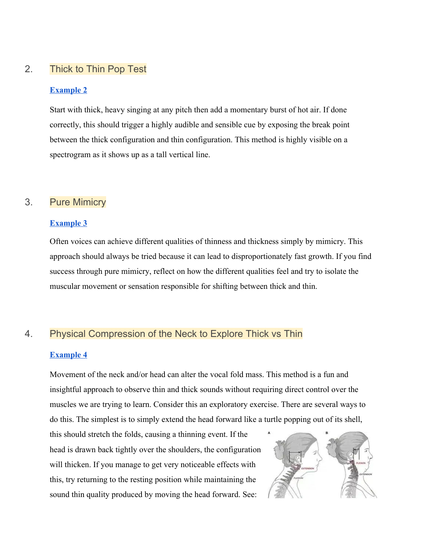## 2. Thick to Thin Pop Test

### **[Example 2](https://clyp.it/f2jt4raw?token=d54a8eb02ffe09d9c11b16dcddcbb2bc)**

Start with thick, heavy singing at any pitch then add a momentary burst of hot air. If done correctly, this should trigger a highly audible and sensible cue by exposing the break point between the thick configuration and thin configuration. This method is highly visible on a spectrogram as it shows up as a tall vertical line.

## 3. Pure Mimicry

#### **[Example 3](https://clyp.it/ulf1fbv5?token=8a8060e9f2d4b33ed0be438cdc956748)**

Often voices can achieve different qualities of thinness and thickness simply by mimicry. This approach should always be tried because it can lead to disproportionately fast growth. If you find success through pure mimicry, reflect on how the different qualities feel and try to isolate the muscular movement or sensation responsible for shifting between thick and thin.

## 4. Physical Compression of the Neck to Explore Thick vs Thin

### **[Example 4](https://clyp.it/zgoix03f?token=2a13b5365009b815d25b4c7821283d48)**

Movement of the neck and/or head can alter the vocal fold mass. This method is a fun and insightful approach to observe thin and thick sounds without requiring direct control over the muscles we are trying to learn. Consider this an exploratory exercise. There are several ways to do this. The simplest is to simply extend the head forward like a turtle popping out of its shell,

this should stretch the folds, causing a thinning event. If the head is drawn back tightly over the shoulders, the configuration will thicken. If you manage to get very noticeable effects with this, try returning to the resting position while maintaining the sound thin quality produced by moving the head forward. See:

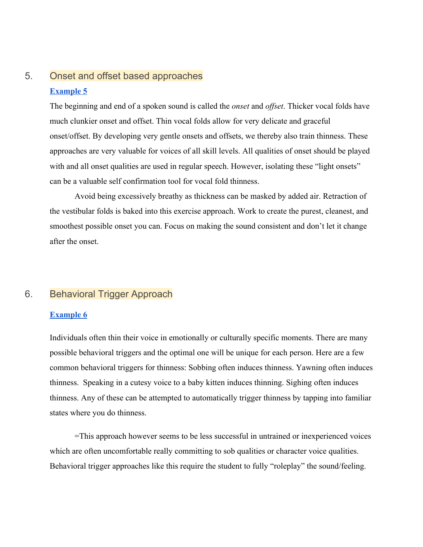## 5. Onset and offset based approaches **[Example 5](https://clyp.it/hcw4oosz?token=4c0d489f18e96c235aa11af6a4243230)**

The beginning and end of a spoken sound is called the *onset* and *offset*. Thicker vocal folds have much clunkier onset and offset. Thin vocal folds allow for very delicate and graceful onset/offset. By developing very gentle onsets and offsets, we thereby also train thinness. These approaches are very valuable for voices of all skill levels. All qualities of onset should be played with and all onset qualities are used in regular speech. However, isolating these "light onsets" can be a valuable self confirmation tool for vocal fold thinness.

Avoid being excessively breathy as thickness can be masked by added air. Retraction of the vestibular folds is baked into this exercise approach. Work to create the purest, cleanest, and smoothest possible onset you can. Focus on making the sound consistent and don't let it change after the onset.

## 6. Behavioral Trigger Approach

### **[Example 6](https://clyp.it/3c1efkvu?token=32c4e8f81e2e2c008a2f01b04269df07)**

Individuals often thin their voice in emotionally or culturally specific moments. There are many possible behavioral triggers and the optimal one will be unique for each person. Here are a few common behavioral triggers for thinness: Sobbing often induces thinness. Yawning often induces thinness. Speaking in a cutesy voice to a baby kitten induces thinning. Sighing often induces thinness. Any of these can be attempted to automatically trigger thinness by tapping into familiar states where you do thinness.

=This approach however seems to be less successful in untrained or inexperienced voices which are often uncomfortable really committing to sob qualities or character voice qualities. Behavioral trigger approaches like this require the student to fully "roleplay" the sound/feeling.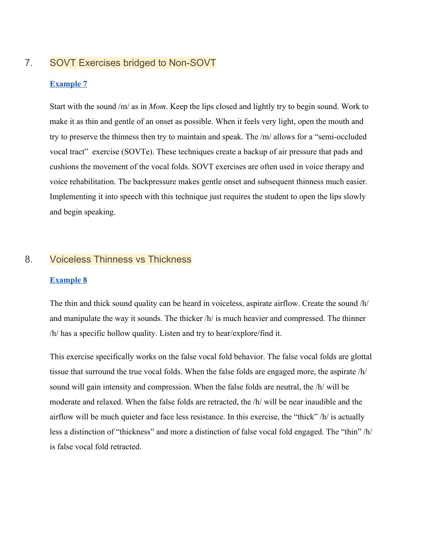## 7. SOVT Exercises bridged to Non-SOVT

#### **[Example 7](https://clyp.it/dvdihruq?token=43ac19d451f64ece78636d06e710c7c6)**

Start with the sound /m/ as in *Mom*. Keep the lips closed and lightly try to begin sound. Work to make it as thin and gentle of an onset as possible. When it feels very light, open the mouth and try to preserve the thinness then try to maintain and speak. The /m/ allows for a "semi-occluded vocal tract" exercise (SOVTe). These techniques create a backup of air pressure that pads and cushions the movement of the vocal folds. SOVT exercises are often used in voice therapy and voice rehabilitation. The backpressure makes gentle onset and subsequent thinness much easier. Implementing it into speech with this technique just requires the student to open the lips slowly and begin speaking.

### 8. Voiceless Thinness vs Thickness

#### **[Example 8](https://clyp.it/glm30y3k?token=2bdc191b7ce1f7b3e82f1cf3a5c39dc6)**

The thin and thick sound quality can be heard in voiceless, aspirate airflow. Create the sound /h/ and manipulate the way it sounds. The thicker /h/ is much heavier and compressed. The thinner /h/ has a specific hollow quality. Listen and try to hear/explore/find it.

This exercise specifically works on the false vocal fold behavior. The false vocal folds are glottal tissue that surround the true vocal folds. When the false folds are engaged more, the aspirate /h/ sound will gain intensity and compression. When the false folds are neutral, the /h/ will be moderate and relaxed. When the false folds are retracted, the /h/ will be near inaudible and the airflow will be much quieter and face less resistance. In this exercise, the "thick" /h/ is actually less a distinction of "thickness" and more a distinction of false vocal fold engaged. The "thin" /h/ is false vocal fold retracted.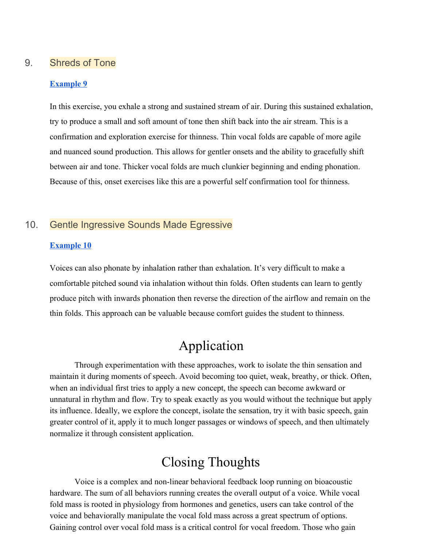### 9. Shreds of Tone

#### **[Example 9](https://clyp.it/ux3k2jfs?token=ea45345020344643750696cfc4e38e6f)**

In this exercise, you exhale a strong and sustained stream of air. During this sustained exhalation, try to produce a small and soft amount of tone then shift back into the air stream. This is a confirmation and exploration exercise for thinness. Thin vocal folds are capable of more agile and nuanced sound production. This allows for gentler onsets and the ability to gracefully shift between air and tone. Thicker vocal folds are much clunkier beginning and ending phonation. Because of this, onset exercises like this are a powerful self confirmation tool for thinness.

## 10. Gentle Ingressive Sounds Made Egressive

#### **[Example 10](https://clyp.it/vs3kqfdq?token=dada86b85aa4cdfe2ce535a66b521e17)**

Voices can also phonate by inhalation rather than exhalation. It's very difficult to make a comfortable pitched sound via inhalation without thin folds. Often students can learn to gently produce pitch with inwards phonation then reverse the direction of the airflow and remain on the thin folds. This approach can be valuable because comfort guides the student to thinness.

# Application

Through experimentation with these approaches, work to isolate the thin sensation and maintain it during moments of speech. Avoid becoming too quiet, weak, breathy, or thick. Often, when an individual first tries to apply a new concept, the speech can become awkward or unnatural in rhythm and flow. Try to speak exactly as you would without the technique but apply its influence. Ideally, we explore the concept, isolate the sensation, try it with basic speech, gain greater control of it, apply it to much longer passages or windows of speech, and then ultimately normalize it through consistent application.

# Closing Thoughts

Voice is a complex and non-linear behavioral feedback loop running on bioacoustic hardware. The sum of all behaviors running creates the overall output of a voice. While vocal fold mass is rooted in physiology from hormones and genetics, users can take control of the voice and behaviorally manipulate the vocal fold mass across a great spectrum of options. Gaining control over vocal fold mass is a critical control for vocal freedom. Those who gain